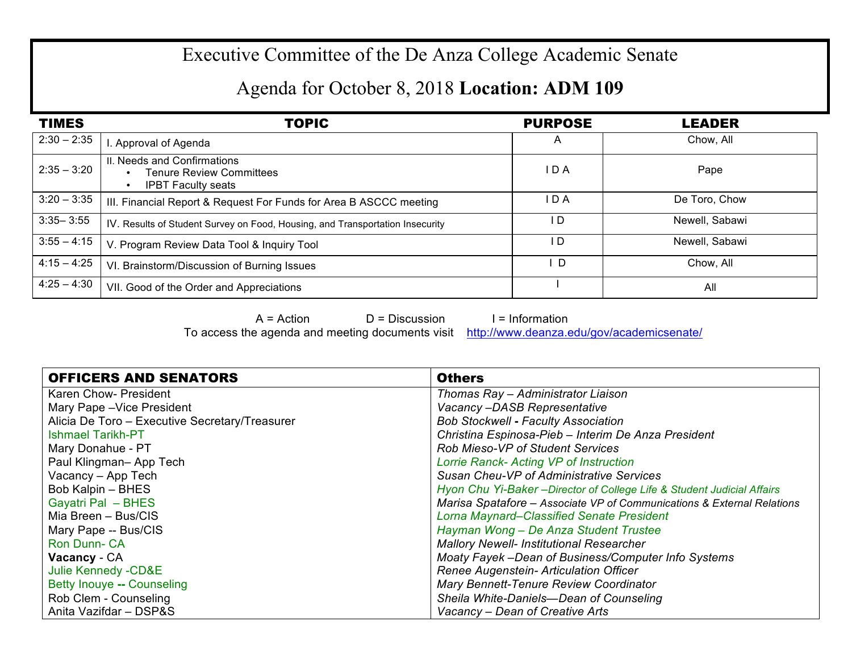## Executive Committee of the De Anza College Academic Senate

## Agenda for October 8, 2018 **Location: ADM 109**

| <b>TIMES</b>  | <b>TOPIC</b>                                                                                | <b>PURPOSE</b> | <b>LEADER</b>  |
|---------------|---------------------------------------------------------------------------------------------|----------------|----------------|
| $2:30 - 2:35$ | Approval of Agenda                                                                          | A              | Chow. All      |
| $2:35 - 3:20$ | II. Needs and Confirmations<br><b>Tenure Review Committees</b><br><b>IPBT Faculty seats</b> | I D A          | Pape           |
| $3:20 - 3:35$ | III. Financial Report & Request For Funds for Area B ASCCC meeting                          | I D A          | De Toro, Chow  |
| $3:35 - 3:55$ | IV. Results of Student Survey on Food, Housing, and Transportation Insecurity               | I D            | Newell, Sabawi |
| $3:55 - 4:15$ | V. Program Review Data Tool & Inquiry Tool                                                  | I D            | Newell, Sabawi |
| $4:15 - 4:25$ | VI. Brainstorm/Discussion of Burning Issues                                                 | <sup>D</sup>   | Chow, All      |
| $4:25 - 4:30$ | VII. Good of the Order and Appreciations                                                    |                | All            |

 $A = Action$   $D = Discussion$  I = Information

To access the agenda and meeting documents visit http://www.deanza.edu/gov/academicsenate/

| <b>OFFICERS AND SENATORS</b>                   | <b>Others</b>                                                           |  |
|------------------------------------------------|-------------------------------------------------------------------------|--|
| <b>Karen Chow- President</b>                   | Thomas Ray - Administrator Liaison                                      |  |
| Mary Pape - Vice President                     | Vacancy-DASB Representative                                             |  |
| Alicia De Toro - Executive Secretary/Treasurer | <b>Bob Stockwell - Faculty Association</b>                              |  |
| <b>Ishmael Tarikh-PT</b>                       | Christina Espinosa-Pieb - Interim De Anza President                     |  |
| Mary Donahue - PT                              | Rob Mieso-VP of Student Services                                        |  |
| Paul Klingman-App Tech                         | Lorrie Ranck- Acting VP of Instruction                                  |  |
| Vacancy - App Tech                             | Susan Cheu-VP of Administrative Services                                |  |
| Bob Kalpin - BHES                              | Hyon Chu Yi-Baker - Director of College Life & Student Judicial Affairs |  |
| <b>Gayatri Pal - BHES</b>                      | Marisa Spatafore - Associate VP of Communications & External Relations  |  |
| Mia Breen - Bus/CIS                            | <b>Lorna Maynard–Classified Senate President</b>                        |  |
| Mary Pape -- Bus/CIS                           | Hayman Wong - De Anza Student Trustee                                   |  |
| Ron Dunn-CA                                    | <b>Mallory Newell- Institutional Researcher</b>                         |  |
| Vacancy - CA                                   | Moaty Fayek -Dean of Business/Computer Info Systems                     |  |
| Julie Kennedy - CD&E                           | Renee Augenstein- Articulation Officer                                  |  |
| Betty Inouye -- Counseling                     | Mary Bennett-Tenure Review Coordinator                                  |  |
| Rob Clem - Counseling                          | Sheila White-Daniels-Dean of Counseling                                 |  |
| Anita Vazifdar - DSP&S                         | Vacancy – Dean of Creative Arts                                         |  |